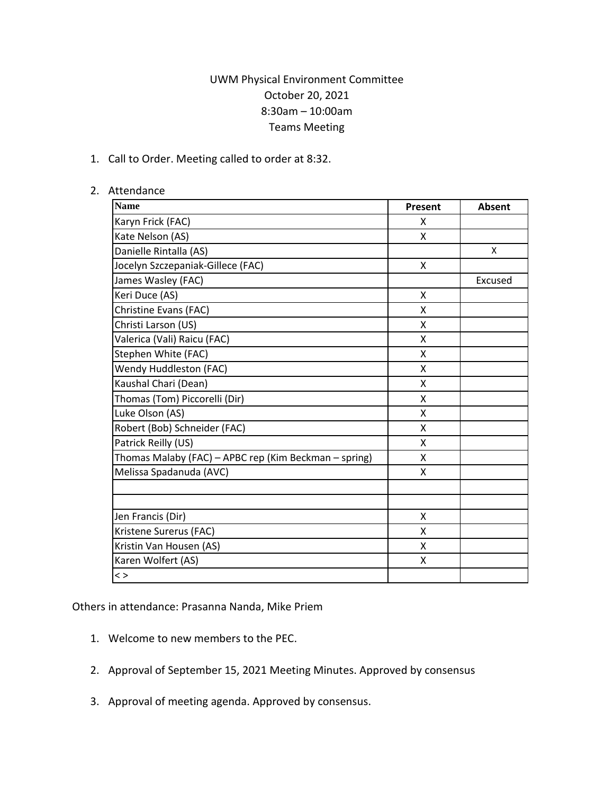## UWM Physical Environment Committee October 20, 2021 8:30am – 10:00am Teams Meeting

1. Call to Order. Meeting called to order at 8:32.

## 2. Attendance

| <b>Name</b>                                           | Present | <b>Absent</b> |
|-------------------------------------------------------|---------|---------------|
| Karyn Frick (FAC)                                     | X       |               |
| Kate Nelson (AS)                                      | X       |               |
| Danielle Rintalla (AS)                                |         | X             |
| Jocelyn Szczepaniak-Gillece (FAC)                     | X       |               |
| James Wasley (FAC)                                    |         | Excused       |
| Keri Duce (AS)                                        | Χ       |               |
| Christine Evans (FAC)                                 | Χ       |               |
| Christi Larson (US)                                   | X       |               |
| Valerica (Vali) Raicu (FAC)                           | Χ       |               |
| Stephen White (FAC)                                   | X       |               |
| Wendy Huddleston (FAC)                                | X       |               |
| Kaushal Chari (Dean)                                  | X       |               |
| Thomas (Tom) Piccorelli (Dir)                         | X       |               |
| Luke Olson (AS)                                       | X       |               |
| Robert (Bob) Schneider (FAC)                          | X       |               |
| Patrick Reilly (US)                                   | X       |               |
| Thomas Malaby (FAC) - APBC rep (Kim Beckman - spring) | X       |               |
| Melissa Spadanuda (AVC)                               | X       |               |
|                                                       |         |               |
|                                                       |         |               |
| Jen Francis (Dir)                                     | X       |               |
| Kristene Surerus (FAC)                                | X       |               |
| Kristin Van Housen (AS)                               | X       |               |
| Karen Wolfert (AS)                                    | Χ       |               |
| $\langle$ $>$                                         |         |               |

Others in attendance: Prasanna Nanda, Mike Priem

- 1. Welcome to new members to the PEC.
- 2. Approval of September 15, 2021 Meeting Minutes. Approved by consensus
- 3. Approval of meeting agenda. Approved by consensus.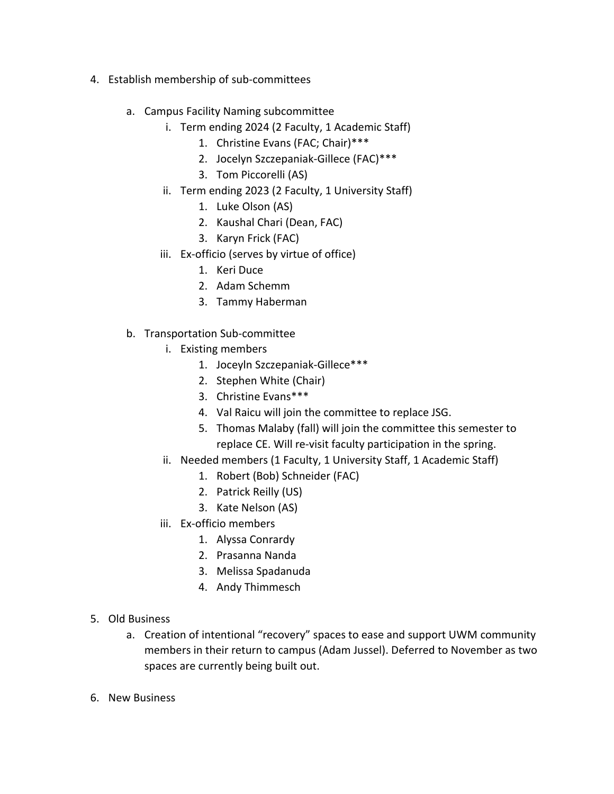- 4. Establish membership of sub-committees
	- a. Campus Facility Naming subcommittee
		- i. Term ending 2024 (2 Faculty, 1 Academic Staff)
			- 1. Christine Evans (FAC; Chair)\*\*\*
			- 2. Jocelyn Szczepaniak-Gillece (FAC)\*\*\*
			- 3. Tom Piccorelli (AS)
		- ii. Term ending 2023 (2 Faculty, 1 University Staff)
			- 1. Luke Olson (AS)
			- 2. Kaushal Chari (Dean, FAC)
			- 3. Karyn Frick (FAC)
		- iii. Ex-officio (serves by virtue of office)
			- 1. Keri Duce
			- 2. Adam Schemm
			- 3. Tammy Haberman
	- b. Transportation Sub-committee
		- i. Existing members
			- 1. Joceyln Szczepaniak-Gillece\*\*\*
			- 2. Stephen White (Chair)
			- 3. Christine Evans\*\*\*
			- 4. Val Raicu will join the committee to replace JSG.
			- 5. Thomas Malaby (fall) will join the committee this semester to replace CE. Will re-visit faculty participation in the spring.
		- ii. Needed members (1 Faculty, 1 University Staff, 1 Academic Staff)
			- 1. Robert (Bob) Schneider (FAC)
			- 2. Patrick Reilly (US)
			- 3. Kate Nelson (AS)
		- iii. Ex-officio members
			- 1. Alyssa Conrardy
			- 2. Prasanna Nanda
			- 3. Melissa Spadanuda
			- 4. Andy Thimmesch
- 5. Old Business
	- a. Creation of intentional "recovery" spaces to ease and support UWM community members in their return to campus (Adam Jussel). Deferred to November as two spaces are currently being built out.
- 6. New Business